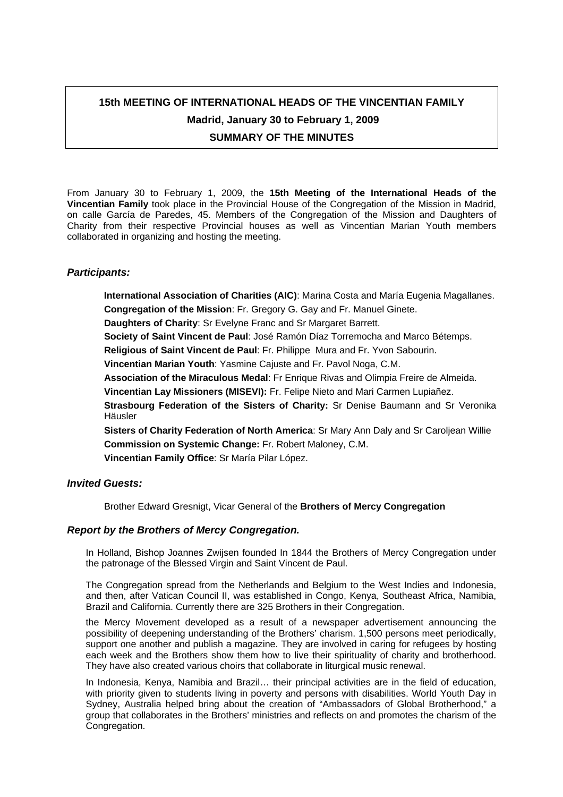# **15th MEETING OF INTERNATIONAL HEADS OF THE VINCENTIAN FAMILY Madrid, January 30 to February 1, 2009 SUMMARY OF THE MINUTES**

From January 30 to February 1, 2009, the **15th Meeting of the International Heads of the Vincentian Family** took place in the Provincial House of the Congregation of the Mission in Madrid, on calle García de Paredes, 45. Members of the Congregation of the Mission and Daughters of Charity from their respective Provincial houses as well as Vincentian Marian Youth members collaborated in organizing and hosting the meeting.

## *Participants:*

**International Association of Charities (AIC)**: Marina Costa and María Eugenia Magallanes.

**Congregation of the Mission**: Fr. Gregory G. Gay and Fr. Manuel Ginete. **Daughters of Charity**: Sr Evelyne Franc and Sr Margaret Barrett.

**Society of Saint Vincent de Paul**: José Ramón Díaz Torremocha and Marco Bétemps.

**Religious of Saint Vincent de Paul**: Fr. Philippe Mura and Fr. Yvon Sabourin.

**Vincentian Marian Youth**: Yasmine Cajuste and Fr. Pavol Noga, C.M.

**Association of the Miraculous Medal**: Fr Enrique Rivas and Olimpia Freire de Almeida.

**Vincentian Lay Missioners (MISEVI):** Fr. Felipe Nieto and Mari Carmen Lupiañez.

**Strasbourg Federation of the Sisters of Charity:** Sr Denise Baumann and Sr Veronika Häusler

**Sisters of Charity Federation of North America**: Sr Mary Ann Daly and Sr Caroljean Willie **Commission on Systemic Change:** Fr. Robert Maloney, C.M. **Vincentian Family Office**: Sr María Pilar López.

## *Invited Guests:*

Brother Edward Gresnigt, Vicar General of the **Brothers of Mercy Congregation** 

## *Report by the Brothers of Mercy Congregation.*

In Holland, Bishop Joannes Zwijsen founded In 1844 the Brothers of Mercy Congregation under the patronage of the Blessed Virgin and Saint Vincent de Paul.

The Congregation spread from the Netherlands and Belgium to the West Indies and Indonesia, and then, after Vatican Council II, was established in Congo, Kenya, Southeast Africa, Namibia, Brazil and California. Currently there are 325 Brothers in their Congregation.

the Mercy Movement developed as a result of a newspaper advertisement announcing the possibility of deepening understanding of the Brothers' charism. 1,500 persons meet periodically, support one another and publish a magazine. They are involved in caring for refugees by hosting each week and the Brothers show them how to live their spirituality of charity and brotherhood. They have also created various choirs that collaborate in liturgical music renewal.

In Indonesia, Kenya, Namibia and Brazil… their principal activities are in the field of education, with priority given to students living in poverty and persons with disabilities. World Youth Day in Sydney, Australia helped bring about the creation of "Ambassadors of Global Brotherhood," a group that collaborates in the Brothers' ministries and reflects on and promotes the charism of the Congregation.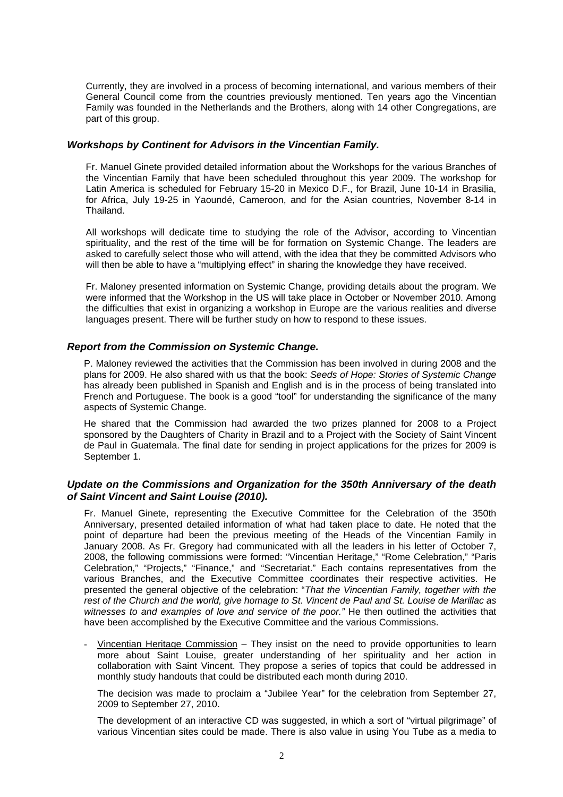Currently, they are involved in a process of becoming international, and various members of their General Council come from the countries previously mentioned. Ten years ago the Vincentian Family was founded in the Netherlands and the Brothers, along with 14 other Congregations, are part of this group.

## *Workshops by Continent for Advisors in the Vincentian Family.*

Fr. Manuel Ginete provided detailed information about the Workshops for the various Branches of the Vincentian Family that have been scheduled throughout this year 2009. The workshop for Latin America is scheduled for February 15-20 in Mexico D.F., for Brazil, June 10-14 in Brasilia, for Africa, July 19-25 in Yaoundé, Cameroon, and for the Asian countries, November 8-14 in Thailand.

All workshops will dedicate time to studying the role of the Advisor, according to Vincentian spirituality, and the rest of the time will be for formation on Systemic Change. The leaders are asked to carefully select those who will attend, with the idea that they be committed Advisors who will then be able to have a "multiplying effect" in sharing the knowledge they have received.

Fr. Maloney presented information on Systemic Change, providing details about the program. We were informed that the Workshop in the US will take place in October or November 2010. Among the difficulties that exist in organizing a workshop in Europe are the various realities and diverse languages present. There will be further study on how to respond to these issues.

## *Report from the Commission on Systemic Change.*

P. Maloney reviewed the activities that the Commission has been involved in during 2008 and the plans for 2009. He also shared with us that the book: *Seeds of Hope: Stories of Systemic Change* has already been published in Spanish and English and is in the process of being translated into French and Portuguese. The book is a good "tool" for understanding the significance of the many aspects of Systemic Change.

He shared that the Commission had awarded the two prizes planned for 2008 to a Project sponsored by the Daughters of Charity in Brazil and to a Project with the Society of Saint Vincent de Paul in Guatemala. The final date for sending in project applications for the prizes for 2009 is September 1.

## *Update on the Commissions and Organization for the 350th Anniversary of the death of Saint Vincent and Saint Louise (2010).*

Fr. Manuel Ginete, representing the Executive Committee for the Celebration of the 350th Anniversary, presented detailed information of what had taken place to date. He noted that the point of departure had been the previous meeting of the Heads of the Vincentian Family in January 2008. As Fr. Gregory had communicated with all the leaders in his letter of October 7, 2008, the following commissions were formed: "Vincentian Heritage," "Rome Celebration," "Paris Celebration," "Projects," "Finance," and "Secretariat." Each contains representatives from the various Branches, and the Executive Committee coordinates their respective activities. He presented the general objective of the celebration: "*That the Vincentian Family, together with the rest of the Church and the world, give homage to St. Vincent de Paul and St. Louise de Marillac as*  witnesses to and examples of love and service of the poor." He then outlined the activities that have been accomplished by the Executive Committee and the various Commissions.

- Vincentian Heritage Commission – They insist on the need to provide opportunities to learn more about Saint Louise, greater understanding of her spirituality and her action in collaboration with Saint Vincent. They propose a series of topics that could be addressed in monthly study handouts that could be distributed each month during 2010.

The decision was made to proclaim a "Jubilee Year" for the celebration from September 27, 2009 to September 27, 2010.

The development of an interactive CD was suggested, in which a sort of "virtual pilgrimage" of various Vincentian sites could be made. There is also value in using You Tube as a media to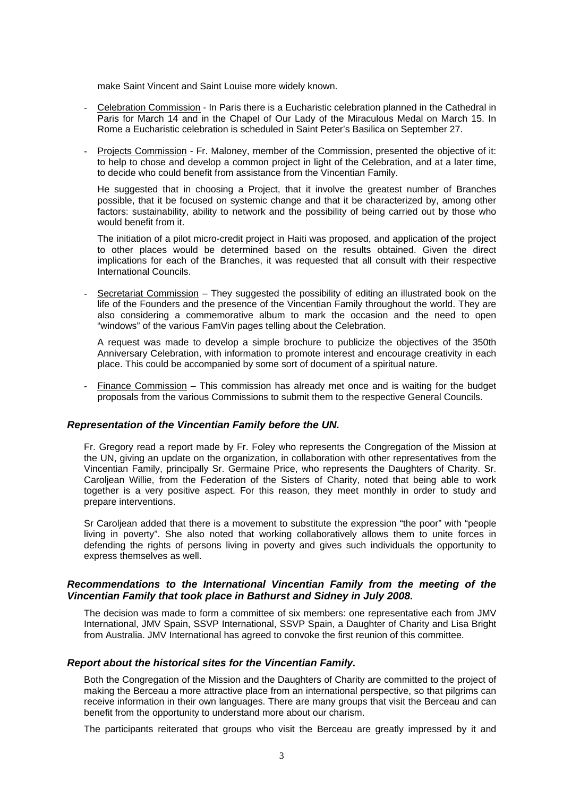make Saint Vincent and Saint Louise more widely known.

- Celebration Commission In Paris there is a Eucharistic celebration planned in the Cathedral in Paris for March 14 and in the Chapel of Our Lady of the Miraculous Medal on March 15. In Rome a Eucharistic celebration is scheduled in Saint Peter's Basilica on September 27.
- Projects Commission Fr. Maloney, member of the Commission, presented the objective of it: to help to chose and develop a common project in light of the Celebration, and at a later time, to decide who could benefit from assistance from the Vincentian Family.

He suggested that in choosing a Project, that it involve the greatest number of Branches possible, that it be focused on systemic change and that it be characterized by, among other factors: sustainability, ability to network and the possibility of being carried out by those who would benefit from it.

The initiation of a pilot micro-credit project in Haiti was proposed, and application of the project to other places would be determined based on the results obtained. Given the direct implications for each of the Branches, it was requested that all consult with their respective International Councils.

Secretariat Commission – They suggested the possibility of editing an illustrated book on the life of the Founders and the presence of the Vincentian Family throughout the world. They are also considering a commemorative album to mark the occasion and the need to open "windows" of the various FamVin pages telling about the Celebration.

A request was made to develop a simple brochure to publicize the objectives of the 350th Anniversary Celebration, with information to promote interest and encourage creativity in each place. This could be accompanied by some sort of document of a spiritual nature.

- Finance Commission – This commission has already met once and is waiting for the budget proposals from the various Commissions to submit them to the respective General Councils.

#### *Representation of the Vincentian Family before the UN.*

Fr. Gregory read a report made by Fr. Foley who represents the Congregation of the Mission at the UN, giving an update on the organization, in collaboration with other representatives from the Vincentian Family, principally Sr. Germaine Price, who represents the Daughters of Charity. Sr. Caroljean Willie, from the Federation of the Sisters of Charity, noted that being able to work together is a very positive aspect. For this reason, they meet monthly in order to study and prepare interventions.

Sr Caroljean added that there is a movement to substitute the expression "the poor" with "people living in poverty". She also noted that working collaboratively allows them to unite forces in defending the rights of persons living in poverty and gives such individuals the opportunity to express themselves as well.

## *Recommendations to the International Vincentian Family from the meeting of the Vincentian Family that took place in Bathurst and Sidney in July 2008.*

The decision was made to form a committee of six members: one representative each from JMV International, JMV Spain, SSVP International, SSVP Spain, a Daughter of Charity and Lisa Bright from Australia. JMV International has agreed to convoke the first reunion of this committee.

#### *Report about the historical sites for the Vincentian Family.*

Both the Congregation of the Mission and the Daughters of Charity are committed to the project of making the Berceau a more attractive place from an international perspective, so that pilgrims can receive information in their own languages. There are many groups that visit the Berceau and can benefit from the opportunity to understand more about our charism.

The participants reiterated that groups who visit the Berceau are greatly impressed by it and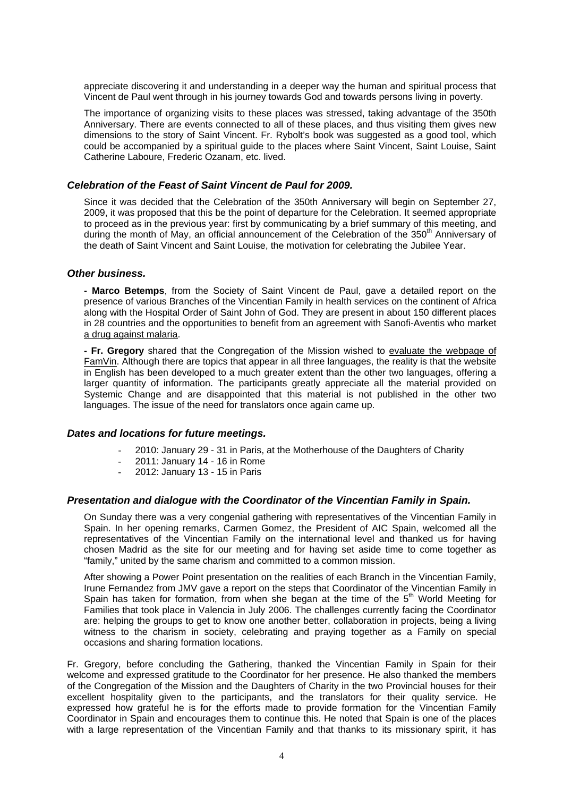appreciate discovering it and understanding in a deeper way the human and spiritual process that Vincent de Paul went through in his journey towards God and towards persons living in poverty.

The importance of organizing visits to these places was stressed, taking advantage of the 350th Anniversary. There are events connected to all of these places, and thus visiting them gives new dimensions to the story of Saint Vincent. Fr. Rybolt's book was suggested as a good tool, which could be accompanied by a spiritual guide to the places where Saint Vincent, Saint Louise, Saint Catherine Laboure, Frederic Ozanam, etc. lived.

## *Celebration of the Feast of Saint Vincent de Paul for 2009.*

Since it was decided that the Celebration of the 350th Anniversary will begin on September 27, 2009, it was proposed that this be the point of departure for the Celebration. It seemed appropriate to proceed as in the previous year: first by communicating by a brief summary of this meeting, and during the month of May, an official announcement of the Celebration of the 350<sup>th</sup> Anniversary of the death of Saint Vincent and Saint Louise, the motivation for celebrating the Jubilee Year.

#### *Other business.*

**- Marco Betemps**, from the Society of Saint Vincent de Paul, gave a detailed report on the presence of various Branches of the Vincentian Family in health services on the continent of Africa along with the Hospital Order of Saint John of God. They are present in about 150 different places in 28 countries and the opportunities to benefit from an agreement with Sanofi-Aventis who market a drug against malaria.

**- Fr. Gregory** shared that the Congregation of the Mission wished to evaluate the webpage of FamVin. Although there are topics that appear in all three languages, the reality is that the website in English has been developed to a much greater extent than the other two languages, offering a larger quantity of information. The participants greatly appreciate all the material provided on Systemic Change and are disappointed that this material is not published in the other two languages. The issue of the need for translators once again came up.

#### *Dates and locations for future meetings.*

- 2010: January 29 31 in Paris, at the Motherhouse of the Daughters of Charity
- 2011: January 14 16 in Rome
- 2012: January 13 15 in Paris

## *Presentation and dialogue with the Coordinator of the Vincentian Family in Spain.*

On Sunday there was a very congenial gathering with representatives of the Vincentian Family in Spain. In her opening remarks, Carmen Gomez, the President of AIC Spain, welcomed all the representatives of the Vincentian Family on the international level and thanked us for having chosen Madrid as the site for our meeting and for having set aside time to come together as "family," united by the same charism and committed to a common mission.

After showing a Power Point presentation on the realities of each Branch in the Vincentian Family, Irune Fernandez from JMV gave a report on the steps that Coordinator of the Vincentian Family in Spain has taken for formation, from when she began at the time of the  $5<sup>th</sup>$  World Meeting for Families that took place in Valencia in July 2006. The challenges currently facing the Coordinator are: helping the groups to get to know one another better, collaboration in projects, being a living witness to the charism in society, celebrating and praying together as a Family on special occasions and sharing formation locations.

Fr. Gregory, before concluding the Gathering, thanked the Vincentian Family in Spain for their welcome and expressed gratitude to the Coordinator for her presence. He also thanked the members of the Congregation of the Mission and the Daughters of Charity in the two Provincial houses for their excellent hospitality given to the participants, and the translators for their quality service. He expressed how grateful he is for the efforts made to provide formation for the Vincentian Family Coordinator in Spain and encourages them to continue this. He noted that Spain is one of the places with a large representation of the Vincentian Family and that thanks to its missionary spirit, it has